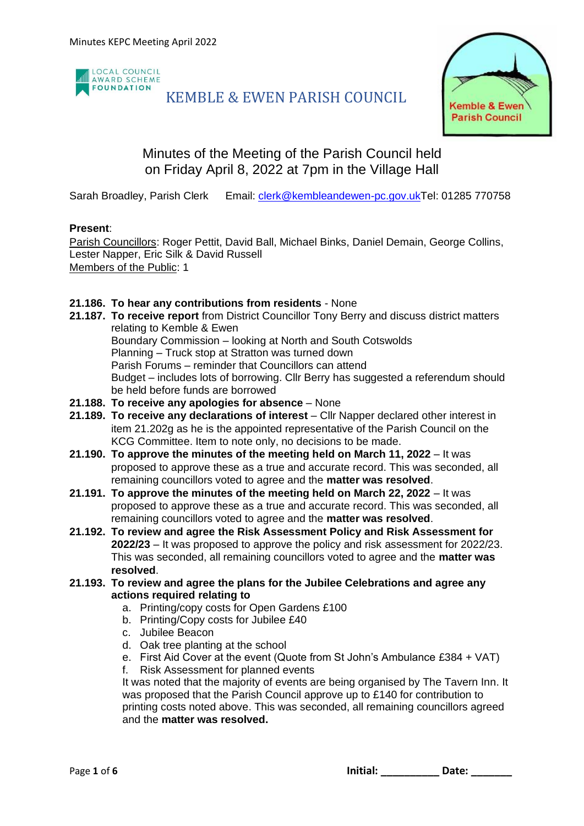

### KEMBLE & EWEN PARISH COUNCIL



### Minutes of the Meeting of the Parish Council held on Friday April 8, 2022 at 7pm in the Village Hall

Sarah Broadley, Parish Clerk Email: [clerk@kembleandewen-pc.gov.ukT](mailto:clerk@kembleandewen-pc.gov.uk)el: 01285 770758

#### **Present**:

Parish Councillors: Roger Pettit, David Ball, Michael Binks, Daniel Demain, George Collins, Lester Napper, Eric Silk & David Russell Members of the Public: 1

#### **21.186. To hear any contributions from residents** - None

- **21.187. To receive report** from District Councillor Tony Berry and discuss district matters relating to Kemble & Ewen Boundary Commission – looking at North and South Cotswolds Planning – Truck stop at Stratton was turned down Parish Forums – reminder that Councillors can attend Budget – includes lots of borrowing. Cllr Berry has suggested a referendum should be held before funds are borrowed
- **21.188. To receive any apologies for absence** None
- **21.189. To receive any declarations of interest** Cllr Napper declared other interest in item 21.202g as he is the appointed representative of the Parish Council on the KCG Committee. Item to note only, no decisions to be made.
- **21.190. To approve the minutes of the meeting held on March 11, 2022** It was proposed to approve these as a true and accurate record. This was seconded, all remaining councillors voted to agree and the **matter was resolved**.
- **21.191. To approve the minutes of the meeting held on March 22, 2022** It was proposed to approve these as a true and accurate record. This was seconded, all remaining councillors voted to agree and the **matter was resolved**.
- **21.192. To review and agree the Risk Assessment Policy and Risk Assessment for 2022/23** – It was proposed to approve the policy and risk assessment for 2022/23. This was seconded, all remaining councillors voted to agree and the **matter was resolved**.
- **21.193. To review and agree the plans for the Jubilee Celebrations and agree any actions required relating to**
	- a. Printing/copy costs for Open Gardens £100
	- b. Printing/Copy costs for Jubilee £40
	- c. Jubilee Beacon
	- d. Oak tree planting at the school
	- e. First Aid Cover at the event (Quote from St John's Ambulance £384 + VAT)
	- f. Risk Assessment for planned events

It was noted that the majority of events are being organised by The Tavern Inn. It was proposed that the Parish Council approve up to £140 for contribution to printing costs noted above. This was seconded, all remaining councillors agreed and the **matter was resolved.**

Page 1 of 6 **by a set of the contract of the contract of the contract of the contract of the contract of the contract of the contract of the contract of the contract of the contract of the contract of the contract of the c**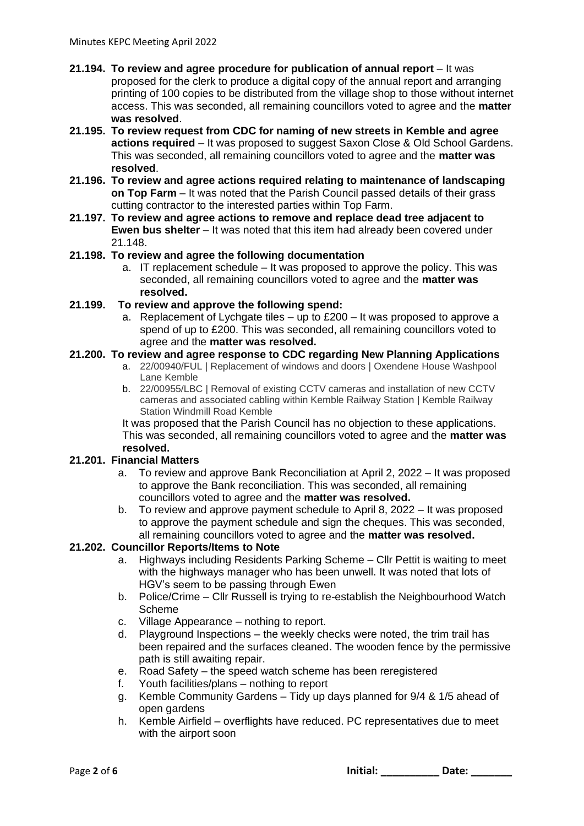- **21.194. To review and agree procedure for publication of annual report** It was proposed for the clerk to produce a digital copy of the annual report and arranging printing of 100 copies to be distributed from the village shop to those without internet access. This was seconded, all remaining councillors voted to agree and the **matter was resolved**.
- **21.195. To review request from CDC for naming of new streets in Kemble and agree actions required** – It was proposed to suggest Saxon Close & Old School Gardens. This was seconded, all remaining councillors voted to agree and the **matter was resolved**.
- **21.196. To review and agree actions required relating to maintenance of landscaping on Top Farm** – It was noted that the Parish Council passed details of their grass cutting contractor to the interested parties within Top Farm.
- **21.197. To review and agree actions to remove and replace dead tree adjacent to Ewen bus shelter** – It was noted that this item had already been covered under 21.148.

#### **21.198. To review and agree the following documentation**

a. IT replacement schedule – It was proposed to approve the policy. This was seconded, all remaining councillors voted to agree and the **matter was resolved.**

#### **21.199. To review and approve the following spend:**

a. Replacement of Lychgate tiles – up to  $£200 -$  It was proposed to approve a spend of up to £200. This was seconded, all remaining councillors voted to agree and the **matter was resolved.**

#### **21.200. To review and agree response to CDC regarding New Planning Applications**

- a. 22/00940/FUL | Replacement of windows and doors | Oxendene House Washpool Lane Kemble
- b. 22/00955/LBC | Removal of existing CCTV cameras and installation of new CCTV cameras and associated cabling within Kemble Railway Station | Kemble Railway Station Windmill Road Kemble

It was proposed that the Parish Council has no objection to these applications. This was seconded, all remaining councillors voted to agree and the **matter was resolved.**

#### **21.201. Financial Matters**

- a. To review and approve Bank Reconciliation at April 2, 2022 It was proposed to approve the Bank reconciliation. This was seconded, all remaining councillors voted to agree and the **matter was resolved.**
- b. To review and approve payment schedule to April 8, 2022 It was proposed to approve the payment schedule and sign the cheques. This was seconded, all remaining councillors voted to agree and the **matter was resolved.**

#### **21.202. Councillor Reports/Items to Note**

- a. Highways including Residents Parking Scheme Cllr Pettit is waiting to meet with the highways manager who has been unwell. It was noted that lots of HGV's seem to be passing through Ewen
- b. Police/Crime Cllr Russell is trying to re-establish the Neighbourhood Watch Scheme
- c. Village Appearance nothing to report.
- d. Playground Inspections the weekly checks were noted, the trim trail has been repaired and the surfaces cleaned. The wooden fence by the permissive path is still awaiting repair.
- e. Road Safety the speed watch scheme has been reregistered
- f. Youth facilities/plans nothing to report
- g. Kemble Community Gardens Tidy up days planned for 9/4 & 1/5 ahead of open gardens
- h. Kemble Airfield overflights have reduced. PC representatives due to meet with the airport soon

Page **2** of **6 Initial: \_\_\_\_\_\_\_\_\_\_ Date: \_\_\_\_\_\_\_**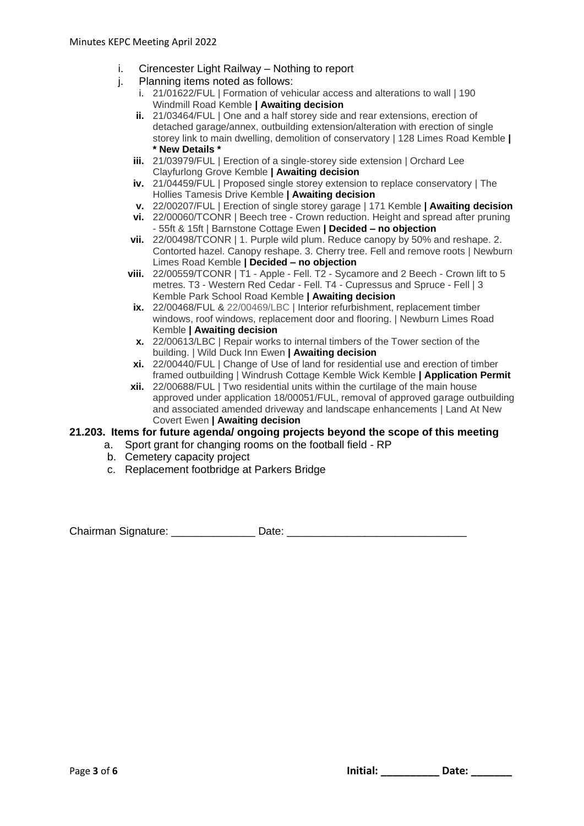- i. Cirencester Light Railway Nothing to report
- j. Planning items noted as follows:
	- i. 21/01622/FUL | Formation of vehicular access and alterations to wall | 190 Windmill Road Kemble **| Awaiting decision**
	- **ii.** 21/03464/FUL | One and a half storey side and rear extensions, erection of detached garage/annex, outbuilding extension/alteration with erection of single storey link to main dwelling, demolition of conservatory | 128 Limes Road Kemble **| \* New Details \***
	- **iii.** 21/03979/FUL | Erection of a single-storey side extension | Orchard Lee Clayfurlong Grove Kemble **| Awaiting decision**
	- **iv.** 21/04459/FUL | Proposed single storey extension to replace conservatory | The Hollies Tamesis Drive Kemble **| Awaiting decision**
	- **v.** 22/00207/FUL | Erection of single storey garage | 171 Kemble **| Awaiting decision**
	- **vi.** 22/00060/TCONR | Beech tree Crown reduction. Height and spread after pruning - 55ft & 15ft | Barnstone Cottage Ewen **| Decided – no objection**
	- **vii.** 22/00498/TCONR | 1. Purple wild plum. Reduce canopy by 50% and reshape. 2. Contorted hazel. Canopy reshape. 3. Cherry tree. Fell and remove roots | Newburn Limes Road Kemble **| Decided – no objection**
	- **viii.** 22/00559/TCONR | T1 Apple Fell. T2 Sycamore and 2 Beech Crown lift to 5 metres. T3 - Western Red Cedar - Fell. T4 - Cupressus and Spruce - Fell | 3 Kemble Park School Road Kemble **| Awaiting decision**
	- **ix.** 22/00468/FUL & 22/00469/LBC | Interior refurbishment, replacement timber windows, roof windows, replacement door and flooring. | Newburn Limes Road Kemble **| Awaiting decision**
	- **x.** 22/00613/LBC | Repair works to internal timbers of the Tower section of the building. | Wild Duck Inn Ewen **| Awaiting decision**
	- **xi.** 22/00440/FUL | Change of Use of land for residential use and erection of timber framed outbuilding | Windrush Cottage Kemble Wick Kemble **| Application Permit**
	- **xii.** 22/00688/FUL | Two residential units within the curtilage of the main house approved under application 18/00051/FUL, removal of approved garage outbuilding and associated amended driveway and landscape enhancements | Land At New Covert Ewen **| Awaiting decision**

#### **21.203. Items for future agenda/ ongoing projects beyond the scope of this meeting**

- a. Sport grant for changing rooms on the football field RP
- b. Cemetery capacity project
- c. Replacement footbridge at Parkers Bridge

Chairman Signature: \_\_\_\_\_\_\_\_\_\_\_\_\_\_\_\_\_\_ Date: \_\_\_\_\_\_\_\_\_\_\_\_\_\_\_\_\_\_\_\_\_\_\_\_\_\_\_\_\_\_\_\_\_\_\_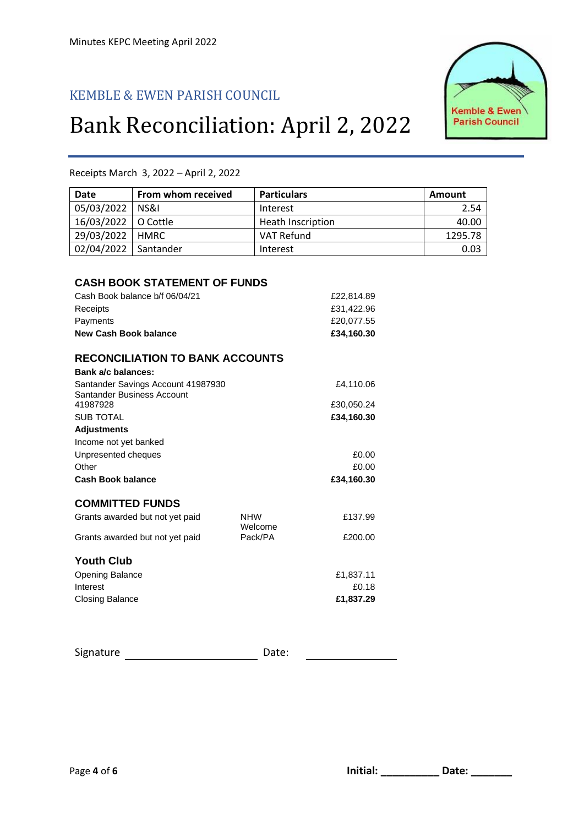## KEMBLE & EWEN PARISH COUNCIL

# Bank Reconciliation: April 2, 2022



| Date                                   | From whom received                     | <b>Particulars</b> |            | <b>Amount</b> |
|----------------------------------------|----------------------------------------|--------------------|------------|---------------|
| 05/03/2022                             | NS&I                                   | Interest           |            | 2.54          |
| 16/03/2022                             | O Cottle                               | Heath Inscription  |            | 40.00         |
| 29/03/2022                             | <b>HMRC</b>                            | <b>VAT Refund</b>  |            | 1295.78       |
| 02/04/2022                             | Santander                              | Interest           |            | 0.03          |
|                                        |                                        |                    |            |               |
|                                        | <b>CASH BOOK STATEMENT OF FUNDS</b>    |                    |            |               |
|                                        | Cash Book balance b/f 06/04/21         |                    | £22,814.89 |               |
| Receipts                               |                                        |                    | £31,422.96 |               |
| Payments                               |                                        |                    | £20,077.55 |               |
| <b>New Cash Book balance</b>           |                                        |                    | £34,160.30 |               |
|                                        |                                        |                    |            |               |
|                                        | <b>RECONCILIATION TO BANK ACCOUNTS</b> |                    |            |               |
| Bank a/c balances:                     |                                        |                    |            |               |
|                                        | Santander Savings Account 41987930     |                    | £4,110.06  |               |
| Santander Business Account<br>41987928 |                                        |                    | £30,050.24 |               |
| <b>SUB TOTAL</b>                       |                                        |                    | £34,160.30 |               |
| <b>Adjustments</b>                     |                                        |                    |            |               |
| Income not yet banked                  |                                        |                    |            |               |
| Unpresented cheques                    |                                        |                    | £0.00      |               |
| Other                                  |                                        |                    | £0.00      |               |
| <b>Cash Book balance</b>               |                                        |                    | £34,160.30 |               |
| <b>COMMITTED FUNDS</b>                 |                                        |                    |            |               |
|                                        | Grants awarded but not yet paid        | <b>NHW</b>         | £137.99    |               |
|                                        |                                        | Welcome            |            |               |
|                                        | Grants awarded but not yet paid        | Pack/PA            | £200.00    |               |
| <b>Youth Club</b>                      |                                        |                    |            |               |
| Opening Balance                        |                                        |                    | £1,837.11  |               |
| Interest                               |                                        |                    | £0.18      |               |
| <b>Closing Balance</b>                 |                                        |                    | £1,837.29  |               |
|                                        |                                        |                    |            |               |
| Signature                              |                                        | Date:              |            |               |

#### Receipts March 3, 2022 – April 2, 2022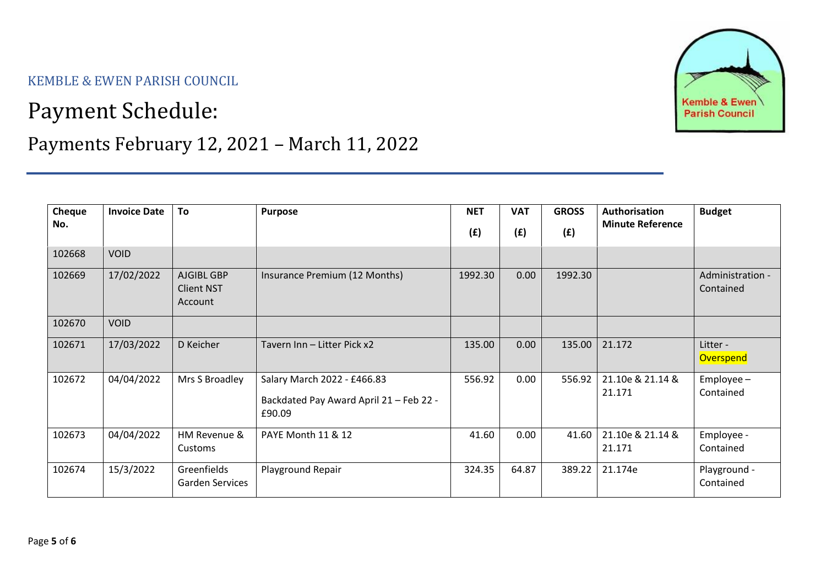KEMBLE & EWEN PARISH COUNCIL

## Payment Schedule:



## Payments February 12, 2021 – March 11, 2022

| Cheque<br>No. | <b>Invoice Date</b> | To                                         | <b>Purpose</b>                                                                   | <b>NET</b><br>(f) | <b>VAT</b><br>(f) | <b>GROSS</b><br>(E) | Authorisation<br><b>Minute Reference</b> | <b>Budget</b>                 |
|---------------|---------------------|--------------------------------------------|----------------------------------------------------------------------------------|-------------------|-------------------|---------------------|------------------------------------------|-------------------------------|
| 102668        | <b>VOID</b>         |                                            |                                                                                  |                   |                   |                     |                                          |                               |
| 102669        | 17/02/2022          | AJGIBL GBP<br><b>Client NST</b><br>Account | Insurance Premium (12 Months)                                                    | 1992.30           | 0.00              | 1992.30             |                                          | Administration -<br>Contained |
| 102670        | <b>VOID</b>         |                                            |                                                                                  |                   |                   |                     |                                          |                               |
| 102671        | 17/03/2022          | D Keicher                                  | Tavern Inn - Litter Pick x2                                                      | 135.00            | 0.00              | 135.00              | 21.172                                   | Litter -<br><b>Overspend</b>  |
| 102672        | 04/04/2022          | Mrs S Broadley                             | Salary March 2022 - £466.83<br>Backdated Pay Award April 21 - Feb 22 -<br>£90.09 | 556.92            | 0.00              | 556.92              | 21.10e & 21.14 &<br>21.171               | $Employee -$<br>Contained     |
| 102673        | 04/04/2022          | HM Revenue &<br>Customs                    | PAYE Month 11 & 12                                                               | 41.60             | 0.00              | 41.60               | 21.10e & 21.14 &<br>21.171               | Employee -<br>Contained       |
| 102674        | 15/3/2022           | Greenfields<br>Garden Services             | Playground Repair                                                                | 324.35            | 64.87             | 389.22              | 21.174e                                  | Playground -<br>Contained     |